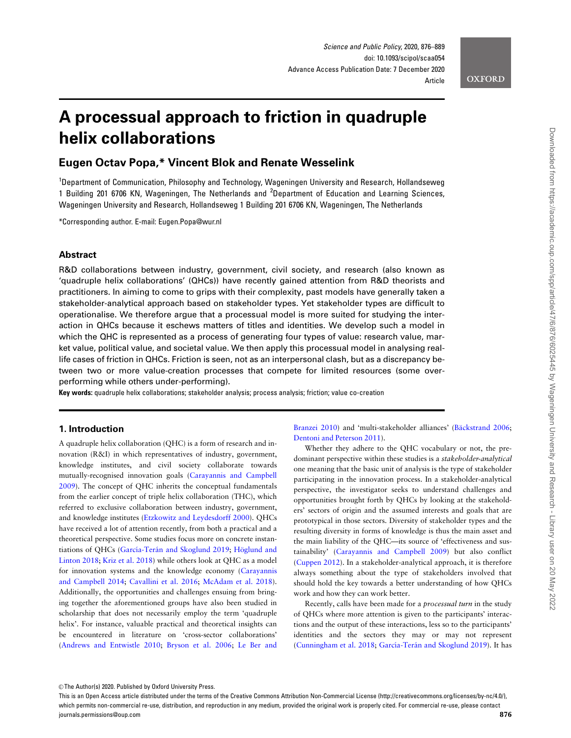**OXFORD** 

# A processual approach to friction in quadruple helix collaborations

# Eugen Octav Popa,\* Vincent Blok and Renate Wesselink

<sup>1</sup>Department of Communication, Philosophy and Technology, Wageningen University and Research, Hollandseweg 1 Building 201 6706 KN, Wageningen, The Netherlands and <sup>2</sup>Department of Education and Learning Sciences, Wageningen University and Research, Hollandseweg 1 Building 201 6706 KN, Wageningen, The Netherlands

\*Corresponding author. E-mail: Eugen.Popa@wur.nl

# Abstract

R&D collaborations between industry, government, civil society, and research (also known as 'quadruple helix collaborations' (QHCs)) have recently gained attention from R&D theorists and practitioners. In aiming to come to grips with their complexity, past models have generally taken a stakeholder-analytical approach based on stakeholder types. Yet stakeholder types are difficult to operationalise. We therefore argue that a processual model is more suited for studying the interaction in QHCs because it eschews matters of titles and identities. We develop such a model in which the QHC is represented as a process of generating four types of value: research value, market value, political value, and societal value. We then apply this processual model in analysing reallife cases of friction in QHCs. Friction is seen, not as an interpersonal clash, but as a discrepancy between two or more value-creation processes that compete for limited resources (some overperforming while others under-performing).

Key words: quadruple helix collaborations; stakeholder analysis; process analysis; friction; value co-creation

## 1. Introduction

A quadruple helix collaboration (QHC) is a form of research and innovation (R&I) in which representatives of industry, government, knowledge institutes, and civil society collaborate towards mutually-recognised innovation goals [\(Carayannis and Campbell](#page-11-0) [2009\)](#page-11-0). The concept of QHC inherits the conceptual fundamentals from the earlier concept of triple helix collaboration (THC), which referred to exclusive collaboration between industry, government, and knowledge institutes [\(Etzkowitz and Leydesdorff 2000\)](#page-12-0). QHCs have received a lot of attention recently, from both a practical and a theoretical perspective. Some studies focus more on concrete instantiations of QHCs (García-Terán and Skoglund 2019; Höglund and [Linton 2018;](#page-12-0) [Kriz et al. 2018\)](#page-12-0) while others look at QHC as a model for innovation systems and the knowledge economy [\(Carayannis](#page-11-0) [and Campbell 2014](#page-11-0); [Cavallini et al. 2016](#page-11-0); [McAdam et al. 2018](#page-12-0)). Additionally, the opportunities and challenges ensuing from bringing together the aforementioned groups have also been studied in scholarship that does not necessarily employ the term 'quadruple helix'. For instance, valuable practical and theoretical insights can be encountered in literature on 'cross-sector collaborations' ([Andrews and Entwistle 2010](#page-11-0); [Bryson et al. 2006;](#page-11-0) [Le Ber and](#page-12-0)

[Branzei 2010\)](#page-12-0) and 'multi-stakeholder alliances' (Bäckstrand 2006; [Dentoni and Peterson 2011\)](#page-12-0).

Whether they adhere to the QHC vocabulary or not, the predominant perspective within these studies is a stakeholder-analytical one meaning that the basic unit of analysis is the type of stakeholder participating in the innovation process. In a stakeholder-analytical perspective, the investigator seeks to understand challenges and opportunities brought forth by QHCs by looking at the stakeholders' sectors of origin and the assumed interests and goals that are prototypical in those sectors. Diversity of stakeholder types and the resulting diversity in forms of knowledge is thus the main asset and the main liability of the QHC—its source of 'effectiveness and sustainability' ([Carayannis and Campbell 2009](#page-11-0)) but also conflict ([Cuppen 2012\)](#page-11-0). In a stakeholder-analytical approach, it is therefore always something about the type of stakeholders involved that should hold the key towards a better understanding of how QHCs work and how they can work better.

Recently, calls have been made for a processual turn in the study of QHCs where more attention is given to the participants' interactions and the output of these interactions, less so to the participants' identities and the sectors they may or may not represent ([Cunningham et al. 2018;](#page-11-0) García-Terán and Skoglund 2019). It has

<sup>©</sup> The Author(s) 2020. Published by Oxford University Press.

This is an Open Access article distributed under the terms of the Creative Commons Attribution Non-Commercial License (http://creativecommons.org/licenses/by-nc/4.0/), which permits non-commercial re-use, distribution, and reproduction in any medium, provided the original work is properly cited. For commercial re-use, please contact  $j$ ournals.permissions@oup.com **876**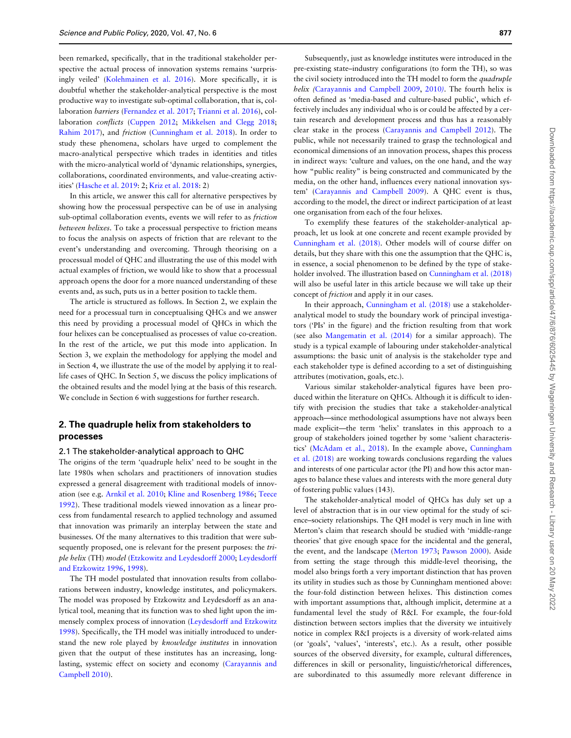been remarked, specifically, that in the traditional stakeholder perspective the actual process of innovation systems remains 'surprisingly veiled' ([Kolehmainen et al. 2016](#page-12-0)). More specifically, it is doubtful whether the stakeholder-analytical perspective is the most productive way to investigate sub-optimal collaboration, that is, collaboration barriers ([Fernandez et al. 2017](#page-12-0); [Trianni et al. 2016\)](#page-13-0), collaboration conflicts ([Cuppen 2012;](#page-11-0) [Mikkelsen and Clegg 2018;](#page-12-0) [Rahim 2017](#page-12-0)), and friction ([Cunningham et al. 2018\)](#page-11-0). In order to study these phenomena, scholars have urged to complement the macro-analytical perspective which trades in identities and titles with the micro-analytical world of 'dynamic relationships, synergies, collaborations, coordinated environments, and value-creating activities' ([Hasche et al. 2019](#page-12-0): 2; [Kriz et al. 2018](#page-12-0): 2)

In this article, we answer this call for alternative perspectives by showing how the processual perspective can be of use in analysing sub-optimal collaboration events, events we will refer to as friction between helixes. To take a processual perspective to friction means to focus the analysis on aspects of friction that are relevant to the event's understanding and overcoming. Through theorising on a processual model of QHC and illustrating the use of this model with actual examples of friction, we would like to show that a processual approach opens the door for a more nuanced understanding of these events and, as such, puts us in a better position to tackle them.

The article is structured as follows. In Section 2, we explain the need for a processual turn in conceptualising QHCs and we answer this need by providing a processual model of QHCs in which the four helixes can be conceptualised as processes of value co-creation. In the rest of the article, we put this mode into application. In Section 3, we explain the methodology for applying the model and in Section 4, we illustrate the use of the model by applying it to reallife cases of QHC. In Section 5, we discuss the policy implications of the obtained results and the model lying at the basis of this research. We conclude in Section 6 with suggestions for further research.

# 2. The quadruple helix from stakeholders to processes

### 2.1 The stakeholder-analytical approach to QHC

The origins of the term 'quadruple helix' need to be sought in the late 1980s when scholars and practitioners of innovation studies expressed a general disagreement with traditional models of innovation (see e.g. [Arnkil et al. 2010](#page-11-0); [Kline and Rosenberg 1986;](#page-12-0) [Teece](#page-13-0) [1992\)](#page-13-0). These traditional models viewed innovation as a linear process from fundamental research to applied technology and assumed that innovation was primarily an interplay between the state and businesses. Of the many alternatives to this tradition that were subsequently proposed, one is relevant for the present purposes: the triple helix (TH) model ([Etzkowitz and Leydesdorff 2000](#page-12-0); [Leydesdorff](#page-12-0) [and Etzkowitz 1996](#page-12-0), [1998](#page-12-0)).

The TH model postulated that innovation results from collaborations between industry, knowledge institutes, and policymakers. The model was proposed by Etzkowitz and Leydesdorff as an analytical tool, meaning that its function was to shed light upon the immensely complex process of innovation [\(Leydesdorff and Etzkowitz](#page-12-0) [1998\)](#page-12-0). Specifically, the TH model was initially introduced to understand the new role played by knowledge institutes in innovation given that the output of these institutes has an increasing, longlasting, systemic effect on society and economy ([Carayannis and](#page-11-0) [Campbell 2010\)](#page-11-0).

Subsequently, just as knowledge institutes were introduced in the pre-existing state–industry configurations (to form the TH), so was the civil society introduced into the TH model to form the quadruple helix ([Carayannis and Campbell 2009,](#page-11-0) [2010](#page-11-0)). The fourth helix is often defined as 'media-based and culture-based public', which effectively includes any individual who is or could be affected by a certain research and development process and thus has a reasonably clear stake in the process [\(Carayannis and Campbell 2012](#page-11-0)). The public, while not necessarily trained to grasp the technological and economical dimensions of an innovation process, shapes this process in indirect ways: 'culture and values, on the one hand, and the way how "public reality" is being constructed and communicated by the media, on the other hand, influences every national innovation system' ([Carayannis and Campbell 2009\)](#page-11-0). A QHC event is thus, according to the model, the direct or indirect participation of at least one organisation from each of the four helixes.

To exemplify these features of the stakeholder-analytical approach, let us look at one concrete and recent example provided by [Cunningham et al. \(2018\).](#page-11-0) Other models will of course differ on details, but they share with this one the assumption that the QHC is, in essence, a social phenomenon to be defined by the type of stakeholder involved. The illustration based on [Cunningham et al. \(2018\)](#page-11-0) will also be useful later in this article because we will take up their concept of friction and apply it in our cases.

In their approach, [Cunningham et al. \(2018\)](#page-11-0) use a stakeholderanalytical model to study the boundary work of principal investigators ('PIs' in the figure) and the friction resulting from that work (see also [Mangematin et al. \(2014\)](#page-12-0) for a similar approach). The study is a typical example of labouring under stakeholder-analytical assumptions: the basic unit of analysis is the stakeholder type and each stakeholder type is defined according to a set of distinguishing attributes (motivation, goals, etc.).

Various similar stakeholder-analytical figures have been produced within the literature on QHCs. Although it is difficult to identify with precision the studies that take a stakeholder-analytical approach—since methodological assumptions have not always been made explicit—the term 'helix' translates in this approach to a group of stakeholders joined together by some 'salient characteristics' [\(McAdam et al., 2018\)](#page-12-0). In the example above, [Cunningham](#page-11-0) [et al. \(2018\)](#page-11-0) are working towards conclusions regarding the values and interests of one particular actor (the PI) and how this actor manages to balance these values and interests with the more general duty of fostering public values (143).

The stakeholder-analytical model of QHCs has duly set up a level of abstraction that is in our view optimal for the study of science–society relationships. The QH model is very much in line with Merton's claim that research should be studied with 'middle-range theories' that give enough space for the incidental and the general, the event, and the landscape [\(Merton 1973](#page-12-0); [Pawson 2000\)](#page-12-0). Aside from setting the stage through this middle-level theorising, the model also brings forth a very important distinction that has proven its utility in studies such as those by Cunningham mentioned above: the four-fold distinction between helixes. This distinction comes with important assumptions that, although implicit, determine at a fundamental level the study of R&I. For example, the four-fold distinction between sectors implies that the diversity we intuitively notice in complex R&I projects is a diversity of work-related aims (or 'goals', 'values', 'interests', etc.). As a result, other possible sources of the observed diversity, for example, cultural differences, differences in skill or personality, linguistic/rhetorical differences, are subordinated to this assumedly more relevant difference in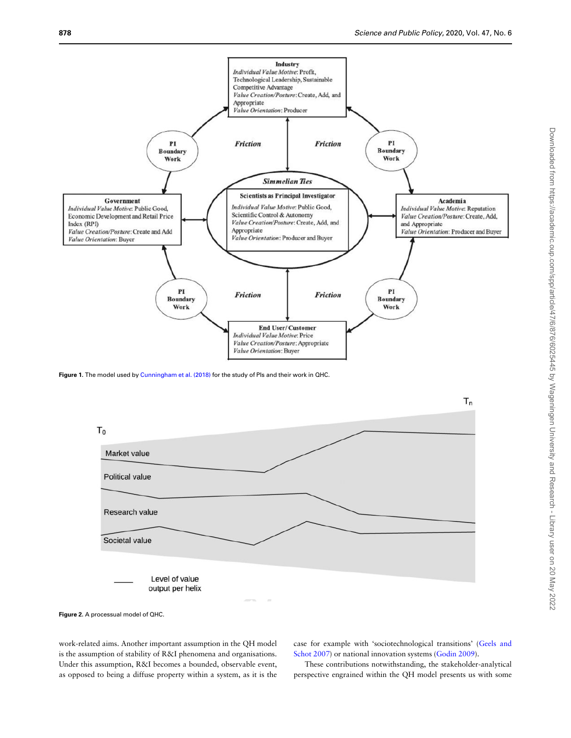

Figure 1. The model used by [Cunningham et al. \(2018\)](#page-11-0) for the study of PIs and their work in QHC.



Figure 2. A processual model of QHC.

work-related aims. Another important assumption in the QH model is the assumption of stability of R&I phenomena and organisations. Under this assumption, R&I becomes a bounded, observable event, as opposed to being a diffuse property within a system, as it is the case for example with 'sociotechnological transitions' ([Geels and](#page-12-0) [Schot 2007\)](#page-12-0) or national innovation systems [\(Godin 2009](#page-12-0)).

These contributions notwithstanding, the stakeholder-analytical perspective engrained within the QH model presents us with some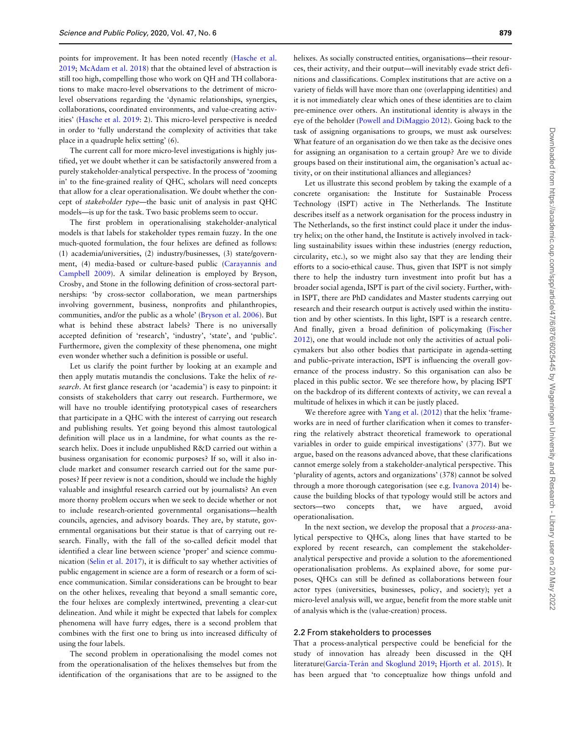points for improvement. It has been noted recently ([Hasche et al.](#page-12-0) [2019;](#page-12-0) [McAdam et al. 2018](#page-12-0)) that the obtained level of abstraction is still too high, compelling those who work on QH and TH collaborations to make macro-level observations to the detriment of microlevel observations regarding the 'dynamic relationships, synergies, collaborations, coordinated environments, and value-creating activities' [\(Hasche et al. 2019:](#page-12-0) 2). This micro-level perspective is needed in order to 'fully understand the complexity of activities that take place in a quadruple helix setting' (6).

The current call for more micro-level investigations is highly justified, yet we doubt whether it can be satisfactorily answered from a purely stakeholder-analytical perspective. In the process of 'zooming in' to the fine-grained reality of QHC, scholars will need concepts that allow for a clear operationalisation. We doubt whether the concept of stakeholder type—the basic unit of analysis in past QHC models—is up for the task. Two basic problems seem to occur.

The first problem in operationalising stakeholder-analytical models is that labels for stakeholder types remain fuzzy. In the one much-quoted formulation, the four helixes are defined as follows: (1) academia/universities, (2) industry/businesses, (3) state/government, (4) media-based or culture-based public ([Carayannis and](#page-11-0) [Campbell 2009\)](#page-11-0). A similar delineation is employed by Bryson, Crosby, and Stone in the following definition of cross-sectoral partnerships: 'by cross-sector collaboration, we mean partnerships involving government, business, nonprofits and philanthropies, communities, and/or the public as a whole' [\(Bryson et al. 2006](#page-11-0)). But what is behind these abstract labels? There is no universally accepted definition of 'research', 'industry', 'state', and 'public'. Furthermore, given the complexity of these phenomena, one might even wonder whether such a definition is possible or useful.

Let us clarify the point further by looking at an example and then apply mutatis mutandis the conclusions. Take the helix of research. At first glance research (or 'academia') is easy to pinpoint: it consists of stakeholders that carry out research. Furthermore, we will have no trouble identifying prototypical cases of researchers that participate in a QHC with the interest of carrying out research and publishing results. Yet going beyond this almost tautological definition will place us in a landmine, for what counts as the research helix. Does it include unpublished R&D carried out within a business organisation for economic purposes? If so, will it also include market and consumer research carried out for the same purposes? If peer review is not a condition, should we include the highly valuable and insightful research carried out by journalists? An even more thorny problem occurs when we seek to decide whether or not to include research-oriented governmental organisations—health councils, agencies, and advisory boards. They are, by statute, governmental organisations but their statue is that of carrying out research. Finally, with the fall of the so-called deficit model that identified a clear line between science 'proper' and science communication [\(Selin et al. 2017](#page-13-0)), it is difficult to say whether activities of public engagement in science are a form of research or a form of science communication. Similar considerations can be brought to bear on the other helixes, revealing that beyond a small semantic core, the four helixes are complexly intertwined, preventing a clear-cut delineation. And while it might be expected that labels for complex phenomena will have furry edges, there is a second problem that combines with the first one to bring us into increased difficulty of using the four labels.

The second problem in operationalising the model comes not from the operationalisation of the helixes themselves but from the identification of the organisations that are to be assigned to the

helixes. As socially constructed entities, organisations—their resources, their activity, and their output—will inevitably evade strict definitions and classifications. Complex institutions that are active on a variety of fields will have more than one (overlapping identities) and it is not immediately clear which ones of these identities are to claim pre-eminence over others. An institutional identity is always in the eye of the beholder [\(Powell and DiMaggio 2012](#page-12-0)). Going back to the task of assigning organisations to groups, we must ask ourselves: What feature of an organisation do we then take as the decisive ones for assigning an organisation to a certain group? Are we to divide groups based on their institutional aim, the organisation's actual activity, or on their institutional alliances and allegiances?

Let us illustrate this second problem by taking the example of a concrete organisation: the Institute for Sustainable Process Technology (ISPT) active in The Netherlands. The Institute describes itself as a network organisation for the process industry in The Netherlands, so the first instinct could place it under the industry helix; on the other hand, the Institute is actively involved in tackling sustainability issues within these industries (energy reduction, circularity, etc.), so we might also say that they are lending their efforts to a socio-ethical cause. Thus, given that ISPT is not simply there to help the industry turn investment into profit but has a broader social agenda, ISPT is part of the civil society. Further, within ISPT, there are PhD candidates and Master students carrying out research and their research output is actively used within the institution and by other scientists. In this light, ISPT is a research centre. And finally, given a broad definition of policymaking ([Fischer](#page-12-0) [2012\)](#page-12-0), one that would include not only the activities of actual policymakers but also other bodies that participate in agenda-setting and public–private interaction, ISPT is influencing the overall governance of the process industry. So this organisation can also be placed in this public sector. We see therefore how, by placing ISPT on the backdrop of its different contexts of activity, we can reveal a multitude of helixes in which it can be justly placed.

We therefore agree with [Yang et al. \(2012\)](#page-13-0) that the helix 'frameworks are in need of further clarification when it comes to transferring the relatively abstract theoretical framework to operational variables in order to guide empirical investigations' (377). But we argue, based on the reasons advanced above, that these clarifications cannot emerge solely from a stakeholder-analytical perspective. This 'plurality of agents, actors and organizations' (378) cannot be solved through a more thorough categorisation (see e.g. [Ivanova 2014](#page-12-0)) because the building blocks of that typology would still be actors and sectors—two concepts that, we have argued, avoid operationalisation.

In the next section, we develop the proposal that a process-analytical perspective to QHCs, along lines that have started to be explored by recent research, can complement the stakeholderanalytical perspective and provide a solution to the aforementioned operationalisation problems. As explained above, for some purposes, QHCs can still be defined as collaborations between four actor types (universities, businesses, policy, and society); yet a micro-level analysis will, we argue, benefit from the more stable unit of analysis which is the (value-creation) process.

#### 2.2 From stakeholders to processes

That a process-analytical perspective could be beneficial for the study of innovation has already been discussed in the QH literature(García-Terán and Skoglund 2019; [Hjorth et al. 2015](#page-12-0)). It has been argued that 'to conceptualize how things unfold and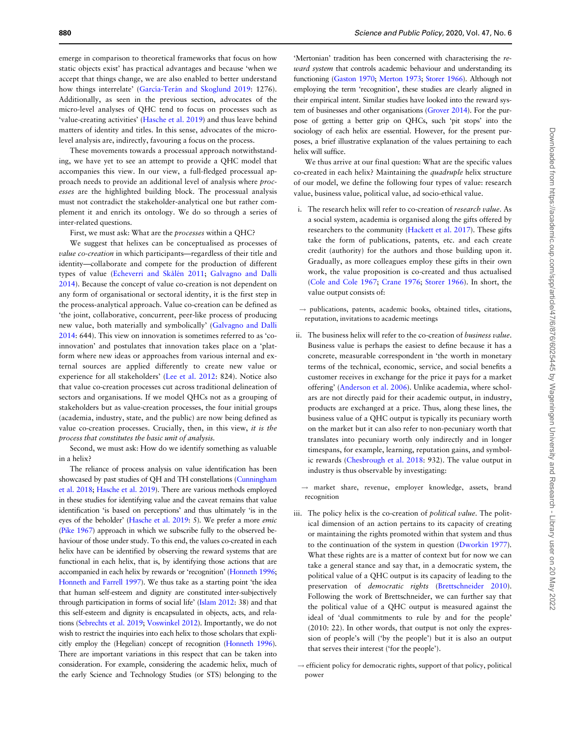emerge in comparison to theoretical frameworks that focus on how static objects exist' has practical advantages and because 'when we accept that things change, we are also enabled to better understand how things interrelate' (García-Terán and Skoglund 2019: 1276). Additionally, as seen in the previous section, advocates of the micro-level analyses of QHC tend to focus on processes such as 'value-creating activities' [\(Hasche et al. 2019](#page-12-0)) and thus leave behind matters of identity and titles. In this sense, advocates of the microlevel analysis are, indirectly, favouring a focus on the process.

These movements towards a processual approach notwithstanding, we have yet to see an attempt to provide a QHC model that accompanies this view. In our view, a full-fledged processual approach needs to provide an additional level of analysis where processes are the highlighted building block. The processual analysis must not contradict the stakeholder-analytical one but rather complement it and enrich its ontology. We do so through a series of inter-related questions.

First, we must ask: What are the processes within a QHC?

We suggest that helixes can be conceptualised as processes of value co-creation in which participants—regardless of their title and identity—collaborate and compete for the production of different types of value (Echeverri and Skålén 2011; [Galvagno and Dalli](#page-12-0) [2014\)](#page-12-0). Because the concept of value co-creation is not dependent on any form of organisational or sectoral identity, it is the first step in the process-analytical approach. Value co-creation can be defined as 'the joint, collaborative, concurrent, peer-like process of producing new value, both materially and symbolically' ([Galvagno and Dalli](#page-12-0) [2014:](#page-12-0) 644). This view on innovation is sometimes referred to as 'coinnovation' and postulates that innovation takes place on a 'platform where new ideas or approaches from various internal and external sources are applied differently to create new value or experience for all stakeholders' ([Lee et al. 2012](#page-12-0): 824). Notice also that value co-creation processes cut across traditional delineation of sectors and organisations. If we model QHCs not as a grouping of stakeholders but as value-creation processes, the four initial groups (academia, industry, state, and the public) are now being defined as value co-creation processes. Crucially, then, in this view, it is the process that constitutes the basic unit of analysis.

Second, we must ask: How do we identify something as valuable in a helix?

The reliance of process analysis on value identification has been showcased by past studies of QH and TH constellations [\(Cunningham](#page-11-0) [et al. 2018](#page-11-0); [Hasche et al. 2019](#page-12-0)). There are various methods employed in these studies for identifying value and the caveat remains that value identification 'is based on perceptions' and thus ultimately 'is in the eyes of the beholder' [\(Hasche et al. 2019](#page-12-0): 5). We prefer a more emic ([Pike 1967](#page-12-0)) approach in which we subscribe fully to the observed behaviour of those under study. To this end, the values co-created in each helix have can be identified by observing the reward systems that are functional in each helix, that is, by identifying those actions that are accompanied in each helix by rewards or 'recognition' [\(Honneth 1996;](#page-12-0) [Honneth and Farrell 1997](#page-12-0)). We thus take as a starting point 'the idea that human self-esteem and dignity are constituted inter-subjectively through participation in forms of social life' [\(Islam 2012](#page-12-0): 38) and that this self-esteem and dignity is encapsulated in objects, acts, and relations [\(Sebrechts et al. 2019](#page-13-0); [Voswinkel 2012](#page-13-0)). Importantly, we do not wish to restrict the inquiries into each helix to those scholars that explicitly employ the (Hegelian) concept of recognition [\(Honneth 1996](#page-12-0)). There are important variations in this respect that can be taken into consideration. For example, considering the academic helix, much of the early Science and Technology Studies (or STS) belonging to the

'Mertonian' tradition has been concerned with characterising the reward system that controls academic behaviour and understanding its functioning [\(Gaston 1970;](#page-12-0) [Merton 1973;](#page-12-0) [Storer 1966\)](#page-13-0). Although not employing the term 'recognition', these studies are clearly aligned in their empirical intent. Similar studies have looked into the reward system of businesses and other organisations ([Grover 2014\)](#page-12-0). For the purpose of getting a better grip on QHCs, such 'pit stops' into the sociology of each helix are essential. However, for the present purposes, a brief illustrative explanation of the values pertaining to each helix will suffice.

We thus arrive at our final question: What are the specific values co-created in each helix? Maintaining the quadruple helix structure of our model, we define the following four types of value: research value, business value, political value, ad socio-ethical value.

- i. The research helix will refer to co-creation of research value. As a social system, academia is organised along the gifts offered by researchers to the community ([Hackett et al. 2017\)](#page-12-0). These gifts take the form of publications, patents, etc. and each create credit (authority) for the authors and those building upon it. Gradually, as more colleagues employ these gifts in their own work, the value proposition is co-created and thus actualised [\(Cole and Cole 1967](#page-11-0); [Crane 1976;](#page-11-0) [Storer 1966\)](#page-13-0). In short, the value output consists of:
- $\rightarrow$  publications, patents, academic books, obtained titles, citations, reputation, invitations to academic meetings
- ii. The business helix will refer to the co-creation of business value. Business value is perhaps the easiest to define because it has a concrete, measurable correspondent in 'the worth in monetary terms of the technical, economic, service, and social benefits a customer receives in exchange for the price it pays for a market offering' ([Anderson et al. 2006\)](#page-11-0). Unlike academia, where scholars are not directly paid for their academic output, in industry, products are exchanged at a price. Thus, along these lines, the business value of a QHC output is typically its pecuniary worth on the market but it can also refer to non-pecuniary worth that translates into pecuniary worth only indirectly and in longer timespans, for example, learning, reputation gains, and symbolic rewards ([Chesbrough et al. 2018:](#page-11-0) 932). The value output in industry is thus observable by investigating:
	- $\rightarrow$  market share, revenue, employer knowledge, assets, brand recognition
- iii. The policy helix is the co-creation of political value. The political dimension of an action pertains to its capacity of creating or maintaining the rights promoted within that system and thus to the continuation of the system in question ([Dworkin 1977](#page-12-0)). What these rights are is a matter of context but for now we can take a general stance and say that, in a democratic system, the political value of a QHC output is its capacity of leading to the preservation of democratic rights ([Brettschneider 2010](#page-11-0)). Following the work of Brettschneider, we can further say that the political value of a QHC output is measured against the ideal of 'dual commitments to rule by and for the people' (2010: 22). In other words, that output is not only the expression of people's will ('by the people') but it is also an output that serves their interest ('for the people').

 $\rightarrow$  efficient policy for democratic rights, support of that policy, political power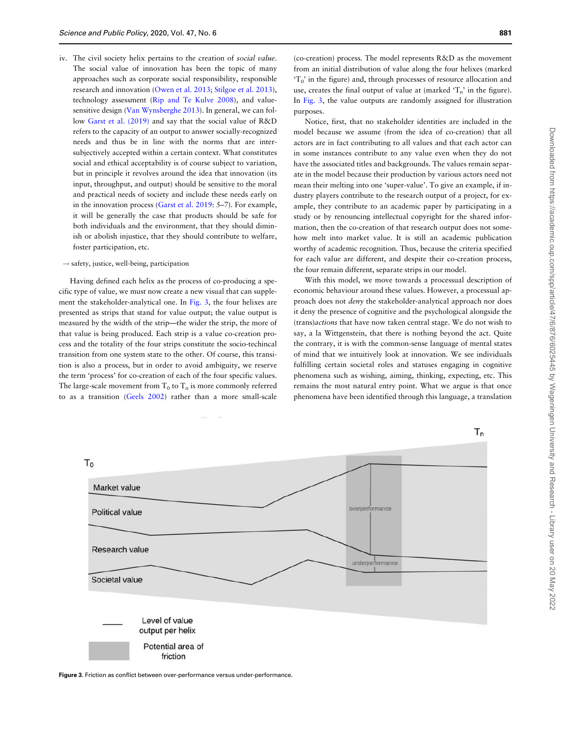- <span id="page-5-0"></span>iv. The civil society helix pertains to the creation of social value. The social value of innovation has been the topic of many approaches such as corporate social responsibility, responsible research and innovation ([Owen et al. 2013;](#page-12-0) [Stilgoe et al. 2013](#page-13-0)), technology assessment ([Rip and Te Kulve 2008\)](#page-12-0), and valuesensitive design ([Van Wynsberghe 2013](#page-13-0)). In general, we can follow [Garst et al. \(2019\)](#page-12-0) and say that the social value of R&D refers to the capacity of an output to answer socially-recognized needs and thus be in line with the norms that are intersubjectively accepted within a certain context. What constitutes social and ethical acceptability is of course subject to variation, but in principle it revolves around the idea that innovation (its input, throughput, and output) should be sensitive to the moral and practical needs of society and include these needs early on in the innovation process ([Garst et al. 2019:](#page-12-0) 5–7). For example, it will be generally the case that products should be safe for both individuals and the environment, that they should diminish or abolish injustice, that they should contribute to welfare, foster participation, etc.
- $\rightarrow$  safety, justice, well-being, participation

Having defined each helix as the process of co-producing a specific type of value, we must now create a new visual that can supplement the stakeholder-analytical one. In Fig. 3, the four helixes are presented as strips that stand for value output; the value output is measured by the width of the strip—the wider the strip, the more of that value is being produced. Each strip is a value co-creation process and the totality of the four strips constitute the socio-techincal transition from one system state to the other. Of course, this transition is also a process, but in order to avoid ambiguity, we reserve the term 'process' for co-creation of each of the four specific values. The large-scale movement from  $T_0$  to  $T_n$  is more commonly referred to as a transition [\(Geels 2002](#page-12-0)) rather than a more small-scale

(co-creation) process. The model represents R&D as the movement from an initial distribution of value along the four helixes (marked  $T_0$ ' in the figure) and, through processes of resource allocation and use, creates the final output of value at (marked  $T_n$ ' in the figure). In Fig. 3, the value outputs are randomly assigned for illustration purposes.

Notice, first, that no stakeholder identities are included in the model because we assume (from the idea of co-creation) that all actors are in fact contributing to all values and that each actor can in some instances contribute to any value even when they do not have the associated titles and backgrounds. The values remain separate in the model because their production by various actors need not mean their melting into one 'super-value'. To give an example, if industry players contribute to the research output of a project, for example, they contribute to an academic paper by participating in a study or by renouncing intellectual copyright for the shared information, then the co-creation of that research output does not somehow melt into market value. It is still an academic publication worthy of academic recognition. Thus, because the criteria specified for each value are different, and despite their co-creation process, the four remain different, separate strips in our model.

With this model, we move towards a processual description of economic behaviour around these values. However, a processual approach does not deny the stakeholder-analytical approach nor does it deny the presence of cognitive and the psychological alongside the (trans)actions that have now taken central stage. We do not wish to say, a la Wittgenstein, that there is nothing beyond the act. Quite the contrary, it is with the common-sense language of mental states of mind that we intuitively look at innovation. We see individuals fulfilling certain societal roles and statuses engaging in cognitive phenomena such as wishing, aiming, thinking, expecting, etc. This remains the most natural entry point. What we argue is that once phenomena have been identified through this language, a translation



Figure 3. Friction as conflict between over-performance versus under-performance.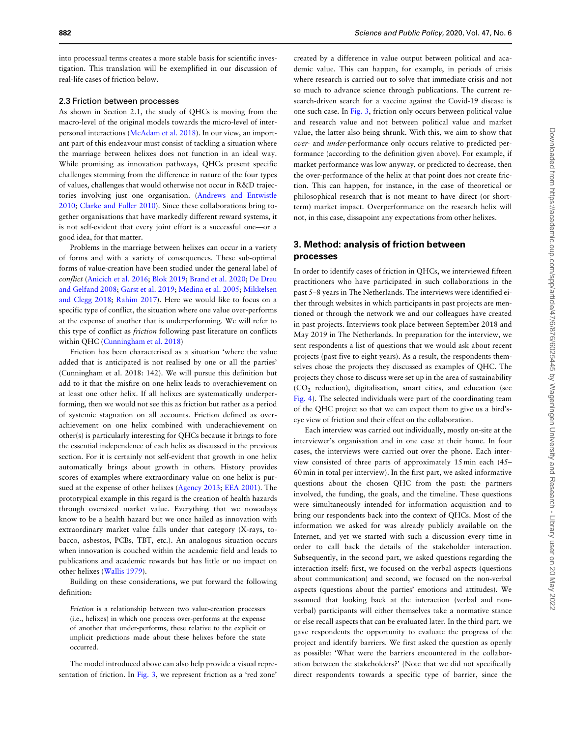into processual terms creates a more stable basis for scientific investigation. This translation will be exemplified in our discussion of real-life cases of friction below.

## 2.3 Friction between processes

As shown in Section 2.1, the study of QHCs is moving from the macro-level of the original models towards the micro-level of interpersonal interactions [\(McAdam et al. 2018](#page-12-0)). In our view, an important part of this endeavour must consist of tackling a situation where the marriage between helixes does not function in an ideal way. While promising as innovation pathways, QHCs present specific challenges stemming from the difference in nature of the four types of values, challenges that would otherwise not occur in R&D trajectories involving just one organisation. ([Andrews and Entwistle](#page-11-0) [2010;](#page-11-0) [Clarke and Fuller 2010\)](#page-11-0). Since these collaborations bring together organisations that have markedly different reward systems, it is not self-evident that every joint effort is a successful one—or a good idea, for that matter.

Problems in the marriage between helixes can occur in a variety of forms and with a variety of consequences. These sub-optimal forms of value-creation have been studied under the general label of conflict ([Anicich et al. 2016;](#page-11-0) [Blok 2019](#page-11-0); [Brand et al. 2020](#page-11-0); [De Dreu](#page-12-0) [and Gelfand 2008](#page-12-0); [Garst et al. 2019](#page-12-0); [Medina et al. 2005;](#page-12-0) [Mikkelsen](#page-12-0) [and Clegg 2018](#page-12-0); [Rahim 2017](#page-12-0)). Here we would like to focus on a specific type of conflict, the situation where one value over-performs at the expense of another that is underperforming. We will refer to this type of conflict as friction following past literature on conflicts within QHC [\(Cunningham et al. 2018\)](#page-11-0)

Friction has been characterised as a situation 'where the value added that is anticipated is not realised by one or all the parties' (Cunningham et al. 2018: 142). We will pursue this definition but add to it that the misfire on one helix leads to overachievement on at least one other helix. If all helixes are systematically underperforming, then we would not see this as friction but rather as a period of systemic stagnation on all accounts. Friction defined as overachievement on one helix combined with underachievement on other(s) is particularly interesting for QHCs because it brings to fore the essential independence of each helix as discussed in the previous section. For it is certainly not self-evident that growth in one helix automatically brings about growth in others. History provides scores of examples where extraordinary value on one helix is pursued at the expense of other helixes [\(Agency 2013](#page-11-0); [EEA 2001\)](#page-12-0). The prototypical example in this regard is the creation of health hazards through oversized market value. Everything that we nowadays know to be a health hazard but we once hailed as innovation with extraordinary market value falls under that category (X-rays, tobacco, asbestos, PCBs, TBT, etc.). An analogous situation occurs when innovation is couched within the academic field and leads to publications and academic rewards but has little or no impact on other helixes [\(Wallis 1979\)](#page-13-0).

Building on these considerations, we put forward the following definition:

Friction is a relationship between two value-creation processes (i.e., helixes) in which one process over-performs at the expense of another that under-performs, these relative to the explicit or implicit predictions made about these helixes before the state occurred.

The model introduced above can also help provide a visual representation of friction. In [Fig. 3,](#page-5-0) we represent friction as a 'red zone' created by a difference in value output between political and academic value. This can happen, for example, in periods of crisis where research is carried out to solve that immediate crisis and not so much to advance science through publications. The current research-driven search for a vaccine against the Covid-19 disease is one such case. In [Fig. 3,](#page-5-0) friction only occurs between political value and research value and not between political value and market value, the latter also being shrunk. With this, we aim to show that over- and under-performance only occurs relative to predicted performance (according to the definition given above). For example, if market performance was low anyway, or predicted to decrease, then the over-performance of the helix at that point does not create friction. This can happen, for instance, in the case of theoretical or philosophical research that is not meant to have direct (or shortterm) market impact. Overperformance on the research helix will not, in this case, dissapoint any expectations from other helixes.

# 3. Method: analysis of friction between processes

In order to identify cases of friction in QHCs, we interviewed fifteen practitioners who have participated in such collaborations in the past 5–8 years in The Netherlands. The interviews were identified either through websites in which participants in past projects are mentioned or through the network we and our colleagues have created in past projects. Interviews took place between September 2018 and May 2019 in The Netherlands. In preparation for the interview, we sent respondents a list of questions that we would ask about recent projects (past five to eight years). As a result, the respondents themselves chose the projects they discussed as examples of QHC. The projects they chose to discuss were set up in the area of sustainability  $(CO<sub>2</sub>$  reduction), digitalisation, smart cities, and education (see [Fig. 4\)](#page-7-0). The selected individuals were part of the coordinating team of the QHC project so that we can expect them to give us a bird'seye view of friction and their effect on the collaboration.

Each interview was carried out individually, mostly on-site at the interviewer's organisation and in one case at their home. In four cases, the interviews were carried out over the phone. Each interview consisted of three parts of approximately 15 min each (45– 60 min in total per interview). In the first part, we asked informative questions about the chosen QHC from the past: the partners involved, the funding, the goals, and the timeline. These questions were simultaneously intended for information acquisition and to bring our respondents back into the context of QHCs. Most of the information we asked for was already publicly available on the Internet, and yet we started with such a discussion every time in order to call back the details of the stakeholder interaction. Subsequently, in the second part, we asked questions regarding the interaction itself: first, we focused on the verbal aspects (questions about communication) and second, we focused on the non-verbal aspects (questions about the parties' emotions and attitudes). We assumed that looking back at the interaction (verbal and nonverbal) participants will either themselves take a normative stance or else recall aspects that can be evaluated later. In the third part, we gave respondents the opportunity to evaluate the progress of the project and identify barriers. We first asked the question as openly as possible: 'What were the barriers encountered in the collaboration between the stakeholders?' (Note that we did not specifically direct respondents towards a specific type of barrier, since the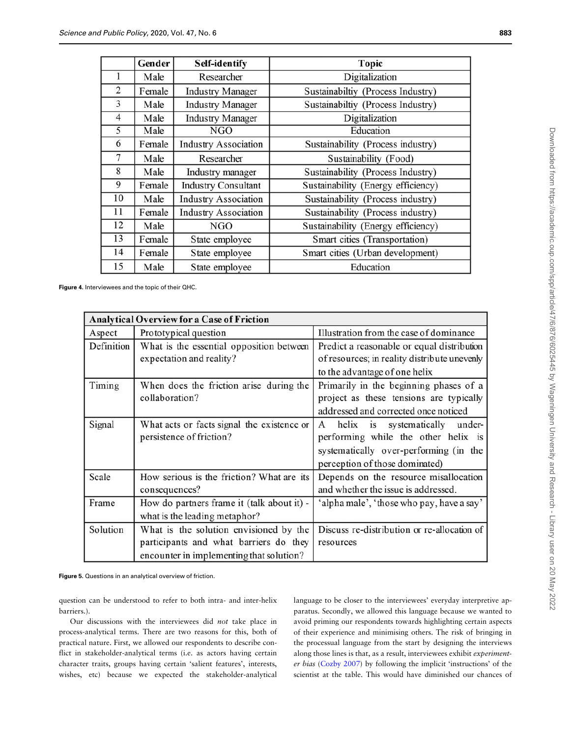<span id="page-7-0"></span>

|                | Gender | <b>Self-identify</b>        | <b>Topic</b>                       |
|----------------|--------|-----------------------------|------------------------------------|
|                | Male   | Researcher                  | Digitalization                     |
| 2              | Female | <b>Industry Manager</b>     | Sustainabiltiy (Process Industry)  |
| 3              | Male   | <b>Industry Manager</b>     | Sustainabiltiy (Process Industry)  |
| $\overline{4}$ | Male   | <b>Industry Manager</b>     | Digitalization                     |
| 5              | Male   | <b>NGO</b>                  | Education                          |
| 6              | Female | <b>Industry Association</b> | Sustainability (Process industry)  |
| $\overline{7}$ | Male   | Researcher                  | Sustainability (Food)              |
| 8              | Male   | Industry manager            | Sustainability (Process Industry)  |
| 9              | Female | <b>Industry Consultant</b>  | Sustainability (Energy efficiency) |
| 10             | Male   | <b>Industry Association</b> | Sustainability (Process industry)  |
| 11             | Female | <b>Industry Association</b> | Sustainability (Process industry)  |
| 12             | Male   | <b>NGO</b>                  | Sustainability (Energy efficiency) |
| 13             | Female | State employee              | Smart cities (Transportation)      |
| 14             | Female | State employee              | Smart cities (Urban development)   |
| 15             | Male   | State employee              | Education                          |

Figure 4. Interviewees and the topic of their QHC.

| <b>Analytical Overview for a Case of Friction</b> |                                                                                                                              |                                                                                                                                                              |  |  |  |
|---------------------------------------------------|------------------------------------------------------------------------------------------------------------------------------|--------------------------------------------------------------------------------------------------------------------------------------------------------------|--|--|--|
| Aspect                                            | Prototypical question                                                                                                        | Illustration from the case of dominance                                                                                                                      |  |  |  |
| Definition                                        | What is the essential opposition between<br>expectation and reality?                                                         | Predict a reasonable or equal distribution<br>of resources; in reality distribute unevenly<br>to the advantage of one helix                                  |  |  |  |
| Timing                                            | When does the friction arise during the<br>collaboration?                                                                    | Primarily in the beginning phases of a<br>project as these tensions are typically<br>addressed and corrected once noticed                                    |  |  |  |
| Signal                                            | What acts or facts signal the existence or<br>persistence of friction?                                                       | helix<br>is systematically<br>under-<br>A<br>performing while the other helix is<br>systematically over-performing (in the<br>perception of those dominated) |  |  |  |
| Scale                                             | How serious is the friction? What are its<br>consequences?                                                                   | Depends on the resource misallocation<br>and whether the issue is addressed.                                                                                 |  |  |  |
| Frame                                             | How do partners frame it (talk about it) -<br>what is the leading metaphor?                                                  | 'alpha male', 'those who pay, have a say'                                                                                                                    |  |  |  |
| Solution                                          | What is the solution envisioned by the<br>participants and what barriers do they<br>encounter in implementing that solution? | Discuss re-distribution or re-allocation of<br>resources                                                                                                     |  |  |  |

Figure 5. Questions in an analytical overview of friction.

question can be understood to refer to both intra- and inter-helix barriers.).

Our discussions with the interviewees did not take place in process-analytical terms. There are two reasons for this, both of practical nature. First, we allowed our respondents to describe conflict in stakeholder-analytical terms (i.e. as actors having certain character traits, groups having certain 'salient features', interests, wishes, etc) because we expected the stakeholder-analytical language to be closer to the interviewees' everyday interpretive apparatus. Secondly, we allowed this language because we wanted to avoid priming our respondents towards highlighting certain aspects of their experience and minimising others. The risk of bringing in the processual language from the start by designing the interviews along those lines is that, as a result, interviewees exhibit experimenter bias ([Cozby 2007](#page-11-0)) by following the implicit 'instructions' of the scientist at the table. This would have diminished our chances of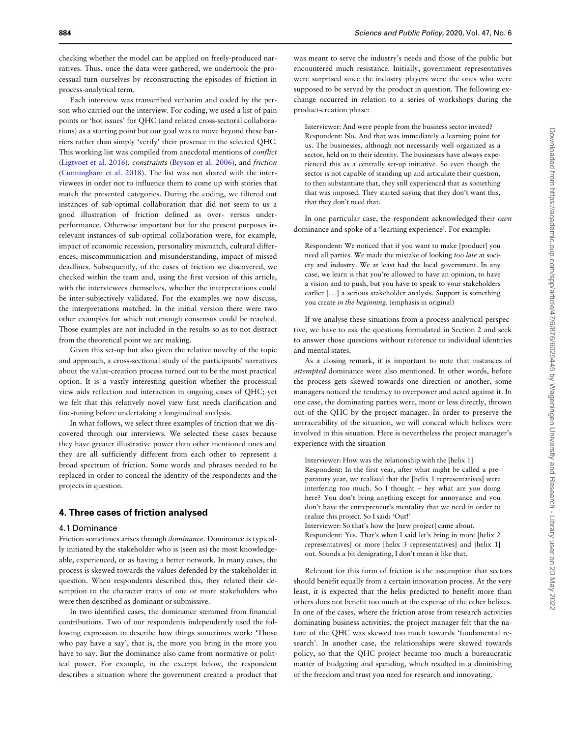checking whether the model can be applied on freely-produced narratives. Thus, once the data were gathered, we undertook the processual turn ourselves by reconstructing the episodes of friction in process-analytical term.

Each interview was transcribed verbatim and coded by the person who carried out the interview. For coding, we used a list of pain points or 'hot issues' for QHC (and related cross-sectoral collaborations) as a starting point but our goal was to move beyond these barriers rather than simply 'verify' their presence in the selected QHC. This working list was compiled from anecdotal mentions of conflict ([Ligtvoet et al. 2016](#page-12-0)), constraints ([Bryson et al. 2006\)](#page-11-0), and friction ([Cunningham et al. 2018\)](#page-11-0). The list was not shared with the interviewees in order not to influence them to come up with stories that match the presented categories. During the coding, we filtered out instances of sub-optimal collaboration that did not seem to us a good illustration of friction defined as over- versus underperformance. Otherwise important but for the present purposes irrelevant instances of sub-optimal collaboration were, for example, impact of economic recession, personality mismatch, cultural differences, miscommunication and misunderstanding, impact of missed deadlines. Subsequently, of the cases of friction we discovered, we checked within the team and, using the first version of this article, with the interviewees themselves, whether the interpretations could be inter-subjectively validated. For the examples we now discuss, the interpretations matched. In the initial version there were two other examples for which not enough consensus could be reached. Those examples are not included in the results so as to not distract from the theoretical point we are making.

Given this set-up but also given the relative novelty of the topic and approach, a cross-sectional study of the participants' narratives about the value-creation process turned out to be the most practical option. It is a vastly interesting question whether the processual view aids reflection and interaction in ongoing cases of QHC; yet we felt that this relatively novel view first needs clarification and fine-tuning before undertaking a longitudinal analysis.

In what follows, we select three examples of friction that we discovered through our interviews. We selected these cases because they have greater illustrative power than other mentioned ones and they are all sufficiently different from each other to represent a broad spectrum of friction. Some words and phrases needed to be replaced in order to conceal the identity of the respondents and the projects in question.

## 4. Three cases of friction analysed

#### 4.1 Dominance

Friction sometimes arises through dominance. Dominance is typically initiated by the stakeholder who is (seen as) the most knowledgeable, experienced, or as having a better network. In many cases, the process is skewed towards the values defended by the stakeholder in question. When respondents described this, they related their description to the character traits of one or more stakeholders who were then described as dominant or submissive.

In two identified cases, the dominance stemmed from financial contributions. Two of our respondents independently used the following expression to describe how things sometimes work: 'Those who pay have a say', that is, the more you bring in the more you have to say. But the dominance also came from normative or political power. For example, in the excerpt below, the respondent describes a situation where the government created a product that

was meant to serve the industry's needs and those of the public but encountered much resistance. Initially, government representatives were surprised since the industry players were the ones who were supposed to be served by the product in question. The following exchange occurred in relation to a series of workshops during the product-creation phase:

Interviewer: And were people from the business sector invited? Respondent: No. And that was immediately a learning point for us. The businesses, although not necessarily well organized as a sector, held on to their identity. The businesses have always experienced this as a centrally set-up initiative. So even though the sector is not capable of standing up and articulate their question, to then substantiate that, they still experienced that as something that was imposed. They started saying that they don't want this, that they don't need that.

In one particular case, the respondent acknowledged their own dominance and spoke of a 'learning experience'. For example:

Respondent: We noticed that if you want to make [product] you need all parties. We made the mistake of looking too late at society and industry. We at least had the local government. In any case, we learn is that you're allowed to have an opinion, to have a vision and to push, but you have to speak to your stakeholders earlier [...] a serious stakeholder analysis. Support is something you create in the beginning. (emphasis in original)

If we analyse these situations from a process-analytical perspective, we have to ask the questions formulated in Section 2 and seek to answer those questions without reference to individual identities and mental states.

As a closing remark, it is important to note that instances of attempted dominance were also mentioned. In other words, before the process gets skewed towards one direction or another, some managers noticed the tendency to overpower and acted against it. In one case, the dominating parties were, more or less directly, thrown out of the QHC by the project manager. In order to preserve the untraceability of the situation, we will conceal which helixes were involved in this situation. Here is nevertheless the project manager's experience with the situation

Interviewer: How was the relationship with the [helix 1] Respondent: In the first year, after what might be called a preparatory year, we realized that the [helix 1 representatives] were interfering too much. So I thought  $-$  hey what are you doing here? You don't bring anything except for annoyance and you don't have the entrepreneur's mentality that we need in order to realize this project. So I said: 'Out!' Interviewer: So that's how the [new project] came about. Respondent: Yes. That's when I said let's bring in more [helix 2 representatives] or more [helix 3 representatives] and [helix 1] out. Sounds a bit denigrating, I don't mean it like that.

Relevant for this form of friction is the assumption that sectors should benefit equally from a certain innovation process. At the very least, it is expected that the helix predicted to benefit more than others does not benefit too much at the expense of the other helixes. In one of the cases, where the friction arose from research activities dominating business activities, the project manager felt that the nature of the QHC was skewed too much towards 'fundamental research'. In another case, the relationships were skewed towards policy, so that the QHC project became too much a bureaucratic matter of budgeting and spending, which resulted in a diminishing of the freedom and trust you need for research and innovating.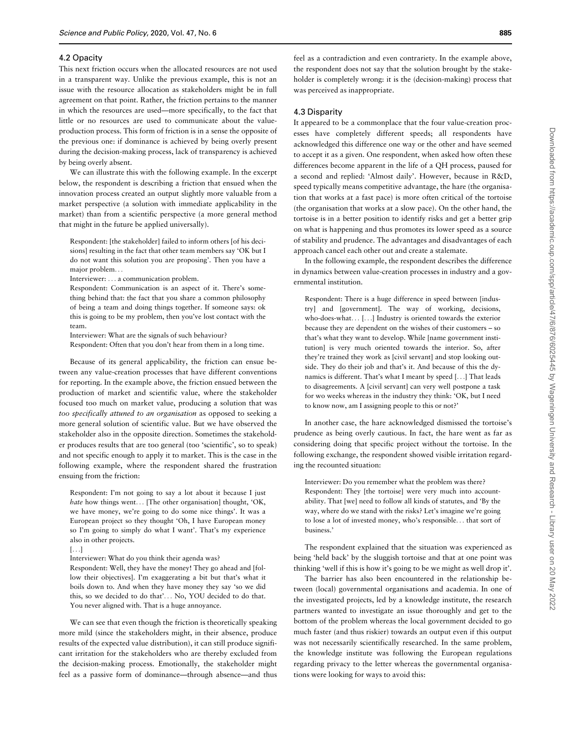#### 4.2 Opacity

This next friction occurs when the allocated resources are not used in a transparent way. Unlike the previous example, this is not an issue with the resource allocation as stakeholders might be in full agreement on that point. Rather, the friction pertains to the manner in which the resources are used—more specifically, to the fact that little or no resources are used to communicate about the valueproduction process. This form of friction is in a sense the opposite of the previous one: if dominance is achieved by being overly present during the decision-making process, lack of transparency is achieved by being overly absent.

We can illustrate this with the following example. In the excerpt below, the respondent is describing a friction that ensued when the innovation process created an output slightly more valuable from a market perspective (a solution with immediate applicability in the market) than from a scientific perspective (a more general method that might in the future be applied universally).

Respondent: [the stakeholder] failed to inform others [of his decisions] resulting in the fact that other team members say 'OK but I do not want this solution you are proposing'. Then you have a major problem...

Interviewer: ... a communication problem.

Respondent: Communication is an aspect of it. There's something behind that: the fact that you share a common philosophy of being a team and doing things together. If someone says: ok this is going to be my problem, then you've lost contact with the team.

Interviewer: What are the signals of such behaviour? Respondent: Often that you don't hear from them in a long time.

Because of its general applicability, the friction can ensue between any value-creation processes that have different conventions for reporting. In the example above, the friction ensued between the production of market and scientific value, where the stakeholder focused too much on market value, producing a solution that was too specifically attuned to an organisation as opposed to seeking a more general solution of scientific value. But we have observed the stakeholder also in the opposite direction. Sometimes the stakeholder produces results that are too general (too 'scientific', so to speak) and not specific enough to apply it to market. This is the case in the following example, where the respondent shared the frustration ensuing from the friction:

Respondent: I'm not going to say a lot about it because I just hate how things went... [The other organisation] thought, 'OK, we have money, we're going to do some nice things'. It was a European project so they thought 'Oh, I have European money so I'm going to simply do what I want'. That's my experience also in other projects.

[...]

Interviewer: What do you think their agenda was?

Respondent: Well, they have the money! They go ahead and [follow their objectives]. I'm exaggerating a bit but that's what it boils down to. And when they have money they say 'so we did this, so we decided to do that'... No, YOU decided to do that. You never aligned with. That is a huge annoyance.

We can see that even though the friction is theoretically speaking more mild (since the stakeholders might, in their absence, produce results of the expected value distribution), it can still produce significant irritation for the stakeholders who are thereby excluded from the decision-making process. Emotionally, the stakeholder might feel as a passive form of dominance—through absence—and thus

feel as a contradiction and even contrariety. In the example above, the respondent does not say that the solution brought by the stakeholder is completely wrong: it is the (decision-making) process that was perceived as inappropriate.

#### 4.3 Disparity

It appeared to be a commonplace that the four value-creation processes have completely different speeds; all respondents have acknowledged this difference one way or the other and have seemed to accept it as a given. One respondent, when asked how often these differences become apparent in the life of a QH process, paused for a second and replied: 'Almost daily'. However, because in R&D, speed typically means competitive advantage, the hare (the organisation that works at a fast pace) is more often critical of the tortoise (the organisation that works at a slow pace). On the other hand, the tortoise is in a better position to identify risks and get a better grip on what is happening and thus promotes its lower speed as a source of stability and prudence. The advantages and disadvantages of each approach cancel each other out and create a stalemate.

In the following example, the respondent describes the difference in dynamics between value-creation processes in industry and a governmental institution.

Respondent: There is a huge difference in speed between [industry] and [government]. The way of working, decisions, who-does-what... [...] Industry is oriented towards the exterior because they are dependent on the wishes of their customers – so that's what they want to develop. While [name government institution] is very much oriented towards the interior. So, after they're trained they work as [civil servant] and stop looking outside. They do their job and that's it. And because of this the dynamics is different. That's what I meant by speed [...] That leads to disagreements. A [civil servant] can very well postpone a task for wo weeks whereas in the industry they think: 'OK, but I need to know now, am I assigning people to this or not?'

In another case, the hare acknowledged dismissed the tortoise's prudence as being overly cautious. In fact, the hare went as far as considering doing that specific project without the tortoise. In the following exchange, the respondent showed visible irritation regarding the recounted situation:

Interviewer: Do you remember what the problem was there? Respondent: They [the tortoise] were very much into accountability. That [we] need to follow all kinds of statutes, and 'By the way, where do we stand with the risks? Let's imagine we're going to lose a lot of invested money, who's responsible... that sort of business.'

The respondent explained that the situation was experienced as being 'held back' by the sluggish tortoise and that at one point was thinking 'well if this is how it's going to be we might as well drop it'.

The barrier has also been encountered in the relationship between (local) governmental organisations and academia. In one of the investigated projects, led by a knowledge institute, the research partners wanted to investigate an issue thoroughly and get to the bottom of the problem whereas the local government decided to go much faster (and thus riskier) towards an output even if this output was not necessarily scientifically researched. In the same problem, the knowledge institute was following the European regulations regarding privacy to the letter whereas the governmental organisations were looking for ways to avoid this: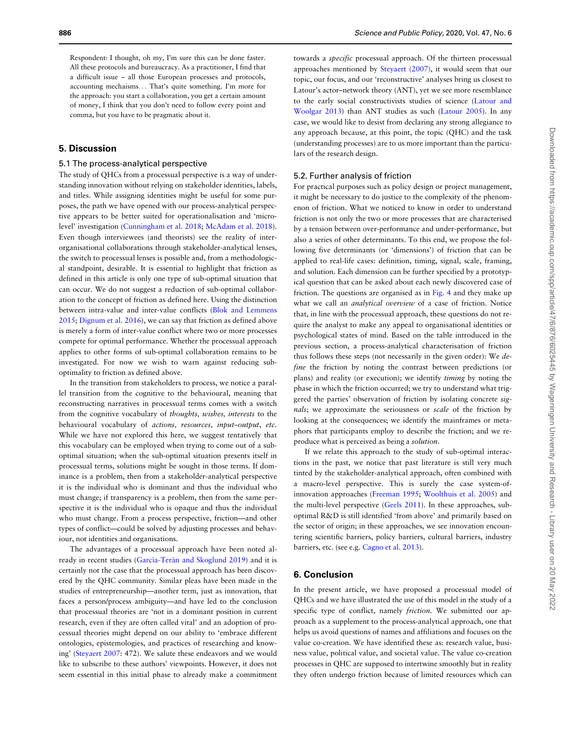Respondent: I thought, oh my, I'm sure this can be done faster. All these protocols and bureaucracy. As a practitioner, I find that a difficult issue – all those European processes and protocols, accounting mechaisms... That's quite something. I'm more for the approach: you start a collaboration, you get a certain amount of money, I think that you don't need to follow every point and comma, but you have to be pragmatic about it.

# 5. Discussion

#### 5.1 The process-analytical perspective

The study of QHCs from a processual perspective is a way of understanding innovation without relying on stakeholder identities, labels, and titles. While assigning identities might be useful for some purposes, the path we have opened with our process-analytical perspective appears to be better suited for operationalisation and 'microlevel' investigation [\(Cunningham et al. 2018](#page-11-0); [McAdam et al. 2018](#page-12-0)). Even though interviewees (and theorists) see the reality of interorganisational collaborations through stakeholder-analytical lenses, the switch to processual lenses is possible and, from a methodological standpoint, desirable. It is essential to highlight that friction as defined in this article is only one type of sub-optimal situation that can occur. We do not suggest a reduction of sub-optimal collaboration to the concept of friction as defined here. Using the distinction between intra-value and inter-value conflicts [\(Blok and Lemmens](#page-11-0) [2015;](#page-11-0) [Dignum et al. 2016](#page-12-0)), we can say that friction as defined above is merely a form of inter-value conflict where two or more processes compete for optimal performance. Whether the processual approach applies to other forms of sub-optimal collaboration remains to be investigated. For now we wish to warn against reducing suboptimality to friction as defined above.

In the transition from stakeholders to process, we notice a parallel transition from the cognitive to the behavioural, meaning that reconstructing narratives in processual terms comes with a switch from the cognitive vocabulary of thoughts, wishes, interests to the behavioural vocabulary of actions, resources, input–output, etc. While we have not explored this here, we suggest tentatively that this vocabulary can be employed when trying to come out of a suboptimal situation; when the sub-optimal situation presents itself in processual terms, solutions might be sought in those terms. If dominance is a problem, then from a stakeholder-analytical perspective it is the individual who is dominant and thus the individual who must change; if transparency is a problem, then from the same perspective it is the individual who is opaque and thus the individual who must change. From a process perspective, friction—and other types of conflict—could be solved by adjusting processes and behaviour, not identities and organisations.

The advantages of a processual approach have been noted already in recent studies (García-Terán and Skoglund 2019) and it is certainly not the case that the processual approach has been discovered by the QHC community. Similar pleas have been made in the studies of entrepreneurship—another term, just as innovation, that faces a person/process ambiguity—and have led to the conclusion that processual theories are 'not in a dominant position in current research, even if they are often called vital' and an adoption of processual theories might depend on our ability to 'embrace different ontologies, epistemologies, and practices of researching and knowing' [\(Steyaert 2007:](#page-13-0) 472). We salute these endeavors and we would like to subscribe to these authors' viewpoints. However, it does not seem essential in this initial phase to already make a commitment

towards a specific processual approach. Of the thirteen processual approaches mentioned by [Steyaert \(2007\),](#page-13-0) it would seem that our topic, our focus, and our 'reconstructive' analyses bring us closest to Latour's actor–network theory (ANT), yet we see more resemblance to the early social constructivists studies of science ([Latour and](#page-12-0) [Woolgar 2013](#page-12-0)) than ANT studies as such ([Latour 2005](#page-12-0)). In any case, we would like to desist from declaring any strong allegiance to any approach because, at this point, the topic (QHC) and the task (understanding processes) are to us more important than the particulars of the research design.

#### 5.2. Further analysis of friction

For practical purposes such as policy design or project management, it might be necessary to do justice to the complexity of the phenomenon of friction. What we noticed to know in order to understand friction is not only the two or more processes that are characterised by a tension between over-performance and under-performance, but also a series of other determinants. To this end, we propose the following five determinants (or 'dimensions') of friction that can be applied to real-life cases: definition, timing, signal, scale, framing, and solution. Each dimension can be further specified by a prototypical question that can be asked about each newly discovered case of friction. The questions are organised as in [Fig. 4](#page-7-0) and they make up what we call an analytical overview of a case of friction. Notice that, in line with the processual approach, these questions do not require the analyst to make any appeal to organisational identities or psychological states of mind. Based on the table introduced in the previous section, a process-analytical characterisation of friction thus follows these steps (not necessarily in the given order): We define the friction by noting the contrast between predictions (or plans) and reality (or execution); we identify timing by noting the phase in which the friction occurred; we try to understand what triggered the parties' observation of friction by isolating concrete signals; we approximate the seriousness or scale of the friction by looking at the consequences; we identify the mainframes or metaphors that participants employ to describe the friction; and we reproduce what is perceived as being a solution.

If we relate this approach to the study of sub-optimal interactions in the past, we notice that past literature is still very much tinted by the stakeholder-analytical approach, often combined with a macro-level perspective. This is surely the case system-ofinnovation approaches [\(Freeman 1995](#page-12-0); [Woolthuis et al. 2005\)](#page-13-0) and the multi-level perspective [\(Geels 2011\)](#page-12-0). In these approaches, suboptimal R&D is still identified 'from above' and primarily based on the sector of origin; in these approaches, we see innovation encountering scientific barriers, policy barriers, cultural barriers, industry barriers, etc. (see e.g. [Cagno et al. 2013\)](#page-11-0).

## 6. Conclusion

In the present article, we have proposed a processual model of QHCs and we have illustrated the use of this model in the study of a specific type of conflict, namely friction. We submitted our approach as a supplement to the process-analytical approach, one that helps us avoid questions of names and affiliations and focuses on the value co-creation. We have identified these as: research value, business value, political value, and societal value. The value co-creation processes in QHC are supposed to intertwine smoothly but in reality they often undergo friction because of limited resources which can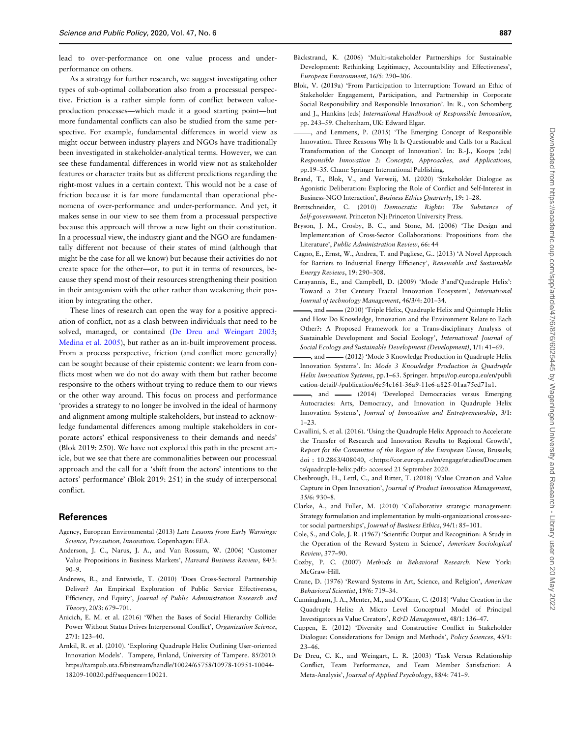<span id="page-11-0"></span>lead to over-performance on one value process and underperformance on others.

As a strategy for further research, we suggest investigating other types of sub-optimal collaboration also from a processual perspective. Friction is a rather simple form of conflict between valueproduction processes—which made it a good starting point—but more fundamental conflicts can also be studied from the same perspective. For example, fundamental differences in world view as might occur between industry players and NGOs have traditionally been investigated in stakeholder-analytical terms. However, we can see these fundamental differences in world view not as stakeholder features or character traits but as different predictions regarding the right-most values in a certain context. This would not be a case of friction because it is far more fundamental than operational phenomena of over-performance and under-performance. And yet, it makes sense in our view to see them from a processual perspective because this approach will throw a new light on their constitution. In a processual view, the industry giant and the NGO are fundamentally different not because of their states of mind (although that might be the case for all we know) but because their activities do not create space for the other—or, to put it in terms of resources, because they spend most of their resources strengthening their position in their antagonism with the other rather than weakening their position by integrating the other.

These lines of research can open the way for a positive appreciation of conflict, not as a clash between individuals that need to be solved, managed, or contained (De Dreu and Weingart 2003; [Medina et al. 2005](#page-12-0)), but rather as an in-built improvement process. From a process perspective, friction (and conflict more generally) can be sought because of their epistemic content: we learn from conflicts most when we do not do away with them but rather become responsive to the others without trying to reduce them to our views or the other way around. This focus on process and performance 'provides a strategy to no longer be involved in the ideal of harmony and alignment among multiple stakeholders, but instead to acknowledge fundamental differences among multiple stakeholders in corporate actors' ethical responsiveness to their demands and needs' (Blok 2019: 250). We have not explored this path in the present article, but we see that there are commonalities between our processual approach and the call for a 'shift from the actors' intentions to the actors' performance' (Blok 2019: 251) in the study of interpersonal conflict.

## **References**

- Agency, European Environmental (2013) Late Lessons from Early Warnings: Science, Precaution, Innovation. Copenhagen: EEA.
- Anderson, J. C., Narus, J. A., and Van Rossum, W. (2006) 'Customer Value Propositions in Business Markets', Harvard Business Review, 84/3: 90–9.
- Andrews, R., and Entwistle, T. (2010) 'Does Cross-Sectoral Partnership Deliver? An Empirical Exploration of Public Service Effectiveness, Efficiency, and Equity', Journal of Public Administration Research and Theory, 20/3: 679–701.
- Anicich, E. M. et al. (2016) 'When the Bases of Social Hierarchy Collide: Power Without Status Drives Interpersonal Conflict', Organization Science, 27/1: 123–40.
- Arnkil, R. et al. (2010). 'Exploring Quadruple Helix Outlining User-oriented Innovation Models'. Tampere, Finland, University of Tampere. 85/2010: [https://tampub.uta.fi/bitstream/handle/10024/65758/10978-10951-10044-](https://tampub.uta.fi/bitstream/handle/10024/65758/10978-10951-10044-18209-10020.pdf?sequence=10021) [18209-10020.pdf?sequence](https://tampub.uta.fi/bitstream/handle/10024/65758/10978-10951-10044-18209-10020.pdf?sequence=10021)=[10021](https://tampub.uta.fi/bitstream/handle/10024/65758/10978-10951-10044-18209-10020.pdf?sequence=10021).
- Bäckstrand, K. (2006) 'Multi-stakeholder Partnerships for Sustainable Development: Rethinking Legitimacy, Accountability and Effectiveness', European Environment, 16/5: 290–306.
- Blok, V. (2019a) 'From Participation to Interruption: Toward an Ethic of Stakeholder Engagement, Participation, and Partnership in Corporate Social Responsibility and Responsible Innovation'. In: R., von Schomberg and J., Hankins (eds) International Handbook of Responsible Innovation, pp. 243–59. Cheltenham, UK: Edward Elgar.
- , and Lemmens, P. (2015) 'The Emerging Concept of Responsible Innovation. Three Reasons Why It Is Questionable and Calls for a Radical Transformation of the Concept of Innovation'. In: B.-J., Koops (eds) Responsible Innovation 2: Concepts, Approaches, and Applications, pp.19–35. Cham: Springer International Publishing.
- Brand, T., Blok, V., and Verweij, M. (2020) 'Stakeholder Dialogue as Agonistic Deliberation: Exploring the Role of Conflict and Self-Interest in Business-NGO Interaction', Business Ethics Quarterly, 19: 1–28.
- Brettschneider, C. (2010) Democratic Rights: The Substance of Self-government. Princeton NJ: Princeton University Press.
- Bryson, J. M., Crosby, B. C., and Stone, M. (2006) 'The Design and Implementation of Cross-Sector Collaborations: Propositions from the Literature', Public Administration Review, 66: 44
- Cagno, E., Ernst, W., Andrea, T. and Pugliese, G.. (2013) 'A Novel Approach for Barriers to Industrial Energy Efficiency', Renewable and Sustainable Energy Reviews, 19: 290–308.
- Carayannis, E., and Campbell, D. (2009) 'Mode 3'and'Quadruple Helix': Toward a 21st Century Fractal Innovation Ecosystem', International Journal of technology Management, 46/3/4: 201–34.
- , and (2010) 'Triple Helix, Quadruple Helix and Quintuple Helix and How Do Knowledge, Innovation and the Environment Relate to Each Other?: A Proposed Framework for a Trans-disciplinary Analysis of Sustainable Development and Social Ecology', International Journal of Social Ecology and Sustainable Development (Development), 1/1: 41–69.
- , and  $\frac{1}{2012}$  'Mode 3 Knowledge Production in Quadruple Helix Innovation Systems'. In: Mode 3 Knowledge Production in Quadruple Helix Innovation Systems, pp.1–63. Springer. [https://op.europa.eu/en/publi](https://op.europa.eu/en/publication-detail/-/publication/6e54c161-36a9-11e6-a825-01aa75ed71a1) [cation-detail/-/publication/6e54c161-36a9-11e6-a825-01aa75ed71a1.](https://op.europa.eu/en/publication-detail/-/publication/6e54c161-36a9-11e6-a825-01aa75ed71a1)
- -, and (2014) 'Developed Democracies versus Emerging Autocracies: Arts, Democracy, and Innovation in Quadruple Helix Innovation Systems', Journal of Innovation and Entrepreneurship, 3/1: 1–23.
- Cavallini, S. et al. (2016). 'Using the Quadruple Helix Approach to Accelerate the Transfer of Research and Innovation Results to Regional Growth', Report for the Committee of the Region of the European Union, Brussels; doi : 10.2863/408040, <[https://cor.europa.eu/en/engage/studies/Documen](https://cor.europa.eu/en/engage/studies/Documents/quadruple-helix.pdf) [ts/quadruple-helix.pdf](https://cor.europa.eu/en/engage/studies/Documents/quadruple-helix.pdf)> accessed 21 September 2020.
- Chesbrough, H., Lettl, C., and Ritter, T. (2018) 'Value Creation and Value Capture in Open Innovation', Journal of Product Innovation Management, 35/6: 930–8.
- Clarke, A., and Fuller, M. (2010) 'Collaborative strategic management: Strategy formulation and implementation by multi-organizational cross-sector social partnerships', Journal of Business Ethics, 94/1: 85–101.
- Cole, S., and Cole, J. R. (1967) 'Scientific Output and Recognition: A Study in the Operation of the Reward System in Science', American Sociological Review, 377–90.
- Cozby, P. C. (2007) Methods in Behavioral Research. New York: McGraw-Hill.
- Crane, D. (1976) 'Reward Systems in Art, Science, and Religion', American Behavioral Scientist, 19/6: 719–34.
- Cunningham, J. A., Menter, M., and O'Kane, C. (2018) 'Value Creation in the Quadruple Helix: A Micro Level Conceptual Model of Principal Investigators as Value Creators', R&D Management, 48/1: 136-47.
- Cuppen, E. (2012) 'Diversity and Constructive Conflict in Stakeholder Dialogue: Considerations for Design and Methods', Policy Sciences, 45/1: 23–46.
- De Dreu, C. K., and Weingart, L. R. (2003) 'Task Versus Relationship Conflict, Team Performance, and Team Member Satisfaction: A Meta-Analysis', Journal of Applied Psychology, 88/4: 741–9.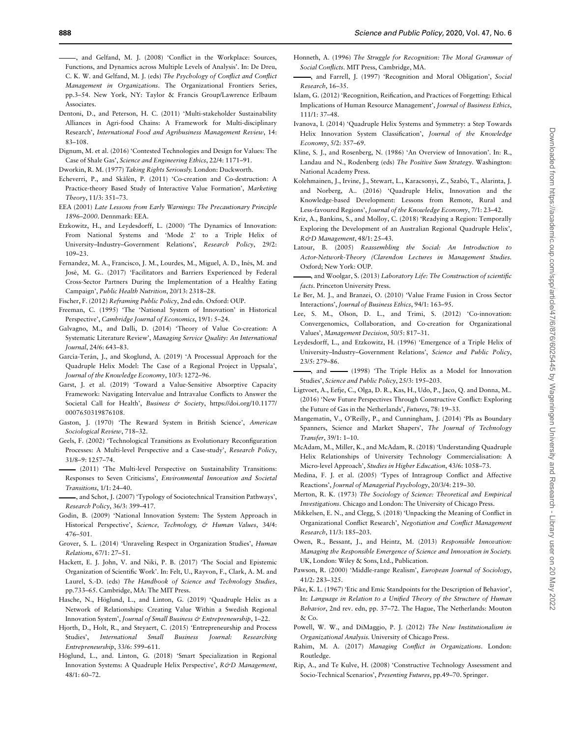<span id="page-12-0"></span>, and Gelfand, M. J. (2008) 'Conflict in the Workplace: Sources, Functions, and Dynamics across Multiple Levels of Analysis'. In: De Dreu, C. K. W. and Gelfand, M. J. (eds) The Psychology of Conflict and Conflict Management in Organizations. The Organizational Frontiers Series, pp.3–54. New York, NY: Taylor & Francis Group/Lawrence Erlbaum Associates.

- Dentoni, D., and Peterson, H. C. (2011) 'Multi-stakeholder Sustainability Alliances in Agri-food Chains: A Framework for Multi-disciplinary Research', International Food and Agribusiness Management Review, 14: 83–108.
- Dignum, M. et al. (2016) 'Contested Technologies and Design for Values: The Case of Shale Gas', Science and Engineering Ethics, 22/4: 1171–91.
- Dworkin, R. M. (1977) Taking Rights Seriously. London: Duckworth.
- Echeverri, P., and Skålén, P. (2011) 'Co-creation and Co-destruction: A Practice-theory Based Study of Interactive Value Formation', Marketing Theory, 11/3: 351–73.
- EEA (2001) Late Lessons from Early Warnings: The Precautionary Principle 1896–2000. Dennmark: EEA.
- Etzkowitz, H., and Leydesdorff, L. (2000) 'The Dynamics of Innovation: From National Systems and 'Mode 2' to a Triple Helix of University–Industry–Government Relations', Research Policy, 29/2: 109–23.
- Fernandez, M. A., Francisco, J. M., Lourdes, M., Miguel, A. D., Inés, M. and José, M. G.. (2017) 'Facilitators and Barriers Experienced by Federal Cross-Sector Partners During the Implementation of a Healthy Eating Campaign', Public Health Nutrition, 20/13: 2318–28.
- Fischer, F. (2012) Reframing Public Policy, 2nd edn. Oxford: OUP.
- Freeman, C. (1995) 'The 'National System of Innovation' in Historical Perspective', Cambridge Journal of Economics, 19/1: 5–24.
- Galvagno, M., and Dalli, D. (2014) 'Theory of Value Co-creation: A Systematic Literature Review', Managing Service Quality: An International Journal, 24/6: 643–83.
- García-Terán, J., and Skoglund, A. (2019) 'A Processual Approach for the Quadruple Helix Model: The Case of a Regional Project in Uppsala', Journal of the Knowledge Economy, 10/3: 1272–96.
- Garst, J. et al. (2019) 'Toward a Value-Sensitive Absorptive Capacity Framework: Navigating Intervalue and Intravalue Conflicts to Answer the Societal Call for Health', Business & Society, [https://doi.org/10.1177/](https://doi.org/10.1177/0007650319876108) [0007650319876108](https://doi.org/10.1177/0007650319876108).
- Gaston, J. (1970) 'The Reward System in British Science', American Sociological Review, 718–32.
- Geels, F. (2002) 'Technological Transitions as Evolutionary Reconfiguration Processes: A Multi-level Perspective and a Case-study', Research Policy, 31/8–9: 1257–74.
- (2011) 'The Multi-level Perspective on Sustainability Transitions: Responses to Seven Criticisms', Environmental Innovation and Societal Transitions, 1/1: 24–40.
- , and Schot, J. (2007) 'Typology of Sociotechnical Transition Pathways', Research Policy, 36/3: 399–417.
- Godin, B. (2009) 'National Innovation System: The System Approach in Historical Perspective', Science, Technology, & Human Values, 34/4: 476–501.
- Grover, S. L. (2014) 'Unraveling Respect in Organization Studies', Human Relations, 67/1: 27–51.
- Hackett, E. J. John, V. and Niki, P. B. (2017) 'The Social and Epistemic Organization of Scientific Work'. In: Felt, U., Rayvon, F., Clark, A. M. and Laurel, S.-D. (eds) The Handbook of Science and Technology Studies, pp.733–65. Cambridge, MA: The MIT Press.
- Hasche, N., Höglund, L., and Linton, G. (2019) 'Quadruple Helix as a Network of Relationships: Creating Value Within a Swedish Regional Innovation System', Journal of Small Business & Entrepreneurship, 1-22.
- Hjorth, D., Holt, R., and Steyaert, C. (2015) 'Entrepreneurship and Process Studies', International Small Business Journal: Researching Entrepreneurship, 33/6: 599–611.
- Höglund, L., and. Linton, G. (2018) 'Smart Specialization in Regional Innovation Systems: A Quadruple Helix Perspective', R&D Management,  $48/1:60-72$ .
- Honneth, A. (1996) The Struggle for Recognition: The Moral Grammar of Social Conflicts. MIT Press, Cambridge, MA.
- , and Farrell, J. (1997) 'Recognition and Moral Obligation', Social Research, 16–35.
- Islam, G. (2012) 'Recognition, Reification, and Practices of Forgetting: Ethical Implications of Human Resource Management', Journal of Business Ethics, 111/1: 37–48.
- Ivanova, I. (2014) 'Quadruple Helix Systems and Symmetry: a Step Towards Helix Innovation System Classification', Journal of the Knowledge Economy, 5/2: 357–69.
- Kline, S. J., and Rosenberg, N. (1986) 'An Overview of Innovation'. In: R., Landau and N., Rodenberg (eds) The Positive Sum Strategy. Washington: National Academy Press.
- Kolehmainen, J., Irvine, J., Stewart, L., Karacsonyi, Z., Szabó, T., Alarinta, J. and Norberg, A.. (2016) 'Quadruple Helix, Innovation and the Knowledge-based Development: Lessons from Remote, Rural and Less-favoured Regions', Journal of the Knowledge Economy, 7/1: 23–42.
- Kriz, A., Bankins, S., and Molloy, C. (2018) 'Readying a Region: Temporally Exploring the Development of an Australian Regional Quadruple Helix', R&D Management, 48/1: 25–43.
- Latour, B. (2005) Reassembling the Social: An Introduction to Actor-Network-Theory (Clarendon Lectures in Management Studies. Oxford; New York: OUP.
- , and Woolgar, S. (2013) Laboratory Life: The Construction of scientific facts. Princeton University Press.
- Le Ber, M. J., and Branzei, O. (2010) 'Value Frame Fusion in Cross Sector Interactions', Journal of Business Ethics, 94/1: 163–95.
- Lee, S. M., Olson, D. L., and Trimi, S. (2012) 'Co-innovation: Convergenomics, Collaboration, and Co-creation for Organizational Values', Management Decision, 50/5: 817–31.
- Leydesdorff, L., and Etzkowitz, H. (1996) 'Emergence of a Triple Helix of University–Industry–Government Relations', Science and Public Policy, 23/5: 279–86.
- , and (1998) 'The Triple Helix as a Model for Innovation Studies', Science and Public Policy, 25/3: 195–203.
- Ligtvoet, A., Eefje, C., Olga, D. R., Kas, H., Udo, P., Jaco, Q. and Donna, M.. (2016) 'New Future Perspectives Through Constructive Conflict: Exploring the Future of Gas in the Netherlands', Futures, 78: 19–33.
- Mangematin, V., O'Reilly, P., and Cunningham, J. (2014) 'PIs as Boundary Spanners, Science and Market Shapers', The Journal of Technology Transfer, 39/1: 1–10.
- McAdam, M., Miller, K., and McAdam, R. (2018) 'Understanding Quadruple Helix Relationships of University Technology Commercialisation: A Micro-level Approach', Studies in Higher Education, 43/6: 1058–73.
- Medina, F. J. et al. (2005) 'Types of Intragroup Conflict and Affective Reactions', Journal of Managerial Psychology, 20/3/4: 219–30.
- Merton, R. K. (1973) The Sociology of Science: Theoretical and Empirical Investigations. Chicago and London: The University of Chicago Press.
- Mikkelsen, E. N., and Clegg, S. (2018) 'Unpacking the Meaning of Conflict in Organizational Conflict Research', Negotiation and Conflict Management Research, 11/3: 185–203.
- Owen, R., Bessant, J., and Heintz, M. (2013) Responsible Innovation: Managing the Responsible Emergence of Science and Innovation in Society. UK, London: Wiley & Sons, Ltd., Publication.
- Pawson, R. (2000) 'Middle-range Realism', European Journal of Sociology, 41/2: 283–325.
- Pike, K. L. (1967) 'Etic and Emic Standpoints for the Description of Behavior', In: Language in Relation to a Unified Theory of the Structure of Human Behavior, 2nd rev. edn, pp. 37–72. The Hague, The Netherlands: Mouton & Co.
- Powell, W. W., and DiMaggio, P. J. (2012) The New Institutionalism in Organizational Analysis. University of Chicago Press.
- Rahim, M. A. (2017) Managing Conflict in Organizations. London: Routledge.
- Rip, A., and Te Kulve, H. (2008) 'Constructive Technology Assessment and Socio-Technical Scenarios', Presenting Futures, pp.49–70. Springer.